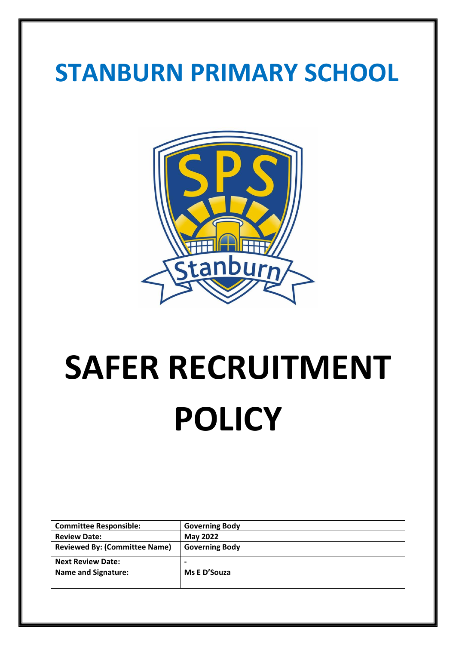## **STANBURN PRIMARY SCHOOL**



# **SAFER RECRUITMENT POLICY**

| <b>Committee Responsible:</b>        | <b>Governing Body</b> |
|--------------------------------------|-----------------------|
| <b>Review Date:</b>                  | <b>May 2022</b>       |
| <b>Reviewed By: (Committee Name)</b> | <b>Governing Body</b> |
| <b>Next Review Date:</b>             | $\blacksquare$        |
| <b>Name and Signature:</b>           | Ms E D'Souza          |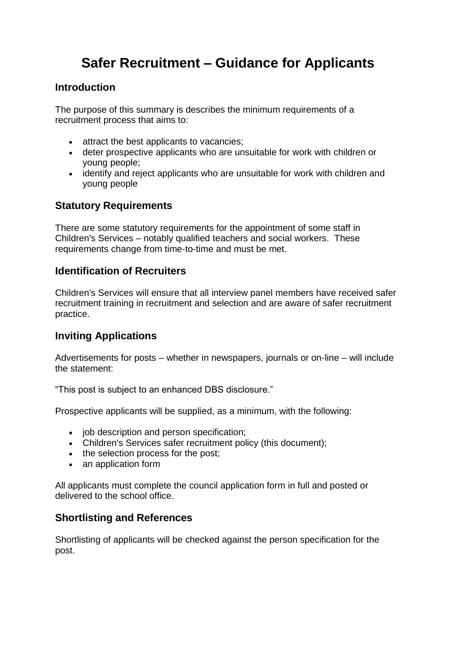### **Safer Recruitment – Guidance for Applicants**

#### **Introduction**

The purpose of this summary is describes the minimum requirements of a recruitment process that aims to:

- attract the best applicants to vacancies;
- deter prospective applicants who are unsuitable for work with children or young people;
- identify and reject applicants who are unsuitable for work with children and young people

#### **Statutory Requirements**

There are some statutory requirements for the appointment of some staff in Children's Services – notably qualified teachers and social workers. These requirements change from time-to-time and must be met.

#### **Identification of Recruiters**

Children's Services will ensure that all interview panel members have received safer recruitment training in recruitment and selection and are aware of safer recruitment practice.

#### **Inviting Applications**

Advertisements for posts – whether in newspapers, journals or on-line – will include the statement:

"This post is subject to an enhanced DBS disclosure."

Prospective applicants will be supplied, as a minimum, with the following:

- job description and person specification;
- Children's Services safer recruitment policy (this document);
- the selection process for the post;
- an application form

All applicants must complete the council application form in full and posted or delivered to the school office.

#### **Shortlisting and References**

Shortlisting of applicants will be checked against the person specification for the post.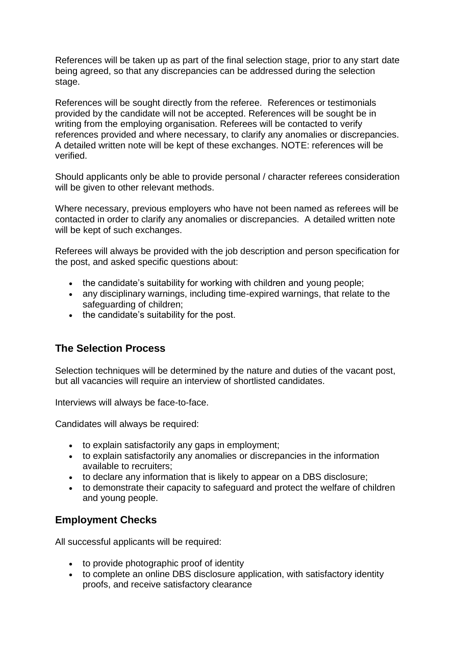References will be taken up as part of the final selection stage, prior to any start date being agreed, so that any discrepancies can be addressed during the selection stage.

References will be sought directly from the referee. References or testimonials provided by the candidate will not be accepted. References will be sought be in writing from the emploving organisation. Referees will be contacted to verify references provided and where necessary, to clarify any anomalies or discrepancies. A detailed written note will be kept of these exchanges. NOTE: references will be verified.

Should applicants only be able to provide personal / character referees consideration will be given to other relevant methods.

Where necessary, previous employers who have not been named as referees will be contacted in order to clarify any anomalies or discrepancies. A detailed written note will be kept of such exchanges.

Referees will always be provided with the job description and person specification for the post, and asked specific questions about:

- the candidate's suitability for working with children and young people:
- any disciplinary warnings, including time-expired warnings, that relate to the safeguarding of children;
- the candidate's suitability for the post.

#### **The Selection Process**

Selection techniques will be determined by the nature and duties of the vacant post, but all vacancies will require an interview of shortlisted candidates.

Interviews will always be face-to-face.

Candidates will always be required:

- to explain satisfactorily any gaps in employment;
- to explain satisfactorily any anomalies or discrepancies in the information available to recruiters;
- to declare any information that is likely to appear on a DBS disclosure;
- to demonstrate their capacity to safeguard and protect the welfare of children and young people.

#### **Employment Checks**

All successful applicants will be required:

- to provide photographic proof of identity
- to complete an online DBS disclosure application, with satisfactory identity proofs, and receive satisfactory clearance